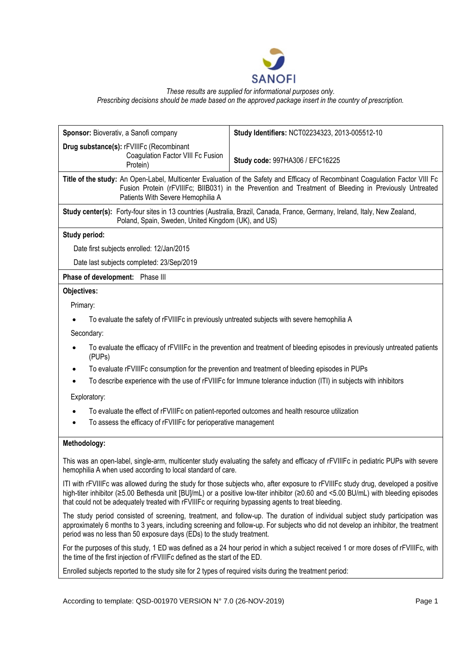

*These results are supplied for informational purposes only.*

*Prescribing decisions should be made based on the approved package insert in the country of prescription.*

| Sponsor: Bioverativ, a Sanofi company                                                                                                                                                                                                                                         | Study Identifiers: NCT02234323, 2013-005512-10                                                                                                                                                                                                                            |
|-------------------------------------------------------------------------------------------------------------------------------------------------------------------------------------------------------------------------------------------------------------------------------|---------------------------------------------------------------------------------------------------------------------------------------------------------------------------------------------------------------------------------------------------------------------------|
| Drug substance(s): rFVIIIFc (Recombinant<br>Coagulation Factor VIII Fc Fusion<br>Protein)                                                                                                                                                                                     | Study code: 997HA306 / EFC16225                                                                                                                                                                                                                                           |
| Title of the study: An Open-Label, Multicenter Evaluation of the Safety and Efficacy of Recombinant Coagulation Factor VIII Fc<br>Fusion Protein (rFVIIIFc; BIIB031) in the Prevention and Treatment of Bleeding in Previously Untreated<br>Patients With Severe Hemophilia A |                                                                                                                                                                                                                                                                           |
| Study center(s): Forty-four sites in 13 countries (Australia, Brazil, Canada, France, Germany, Ireland, Italy, New Zealand,<br>Poland, Spain, Sweden, United Kingdom (UK), and US)                                                                                            |                                                                                                                                                                                                                                                                           |
| Study period:                                                                                                                                                                                                                                                                 |                                                                                                                                                                                                                                                                           |
| Date first subjects enrolled: 12/Jan/2015                                                                                                                                                                                                                                     |                                                                                                                                                                                                                                                                           |
| Date last subjects completed: 23/Sep/2019                                                                                                                                                                                                                                     |                                                                                                                                                                                                                                                                           |
| Phase of development: Phase III                                                                                                                                                                                                                                               |                                                                                                                                                                                                                                                                           |
| Objectives:                                                                                                                                                                                                                                                                   |                                                                                                                                                                                                                                                                           |
| Primary:                                                                                                                                                                                                                                                                      |                                                                                                                                                                                                                                                                           |
| To evaluate the safety of rFVIIIFc in previously untreated subjects with severe hemophilia A                                                                                                                                                                                  |                                                                                                                                                                                                                                                                           |
| Secondary:                                                                                                                                                                                                                                                                    |                                                                                                                                                                                                                                                                           |
| (PUPs)                                                                                                                                                                                                                                                                        | To evaluate the efficacy of rFVIIIFc in the prevention and treatment of bleeding episodes in previously untreated patients                                                                                                                                                |
| To evaluate rFVIIIFc consumption for the prevention and treatment of bleeding episodes in PUPs                                                                                                                                                                                |                                                                                                                                                                                                                                                                           |
|                                                                                                                                                                                                                                                                               | To describe experience with the use of rFVIIIFc for Immune tolerance induction (ITI) in subjects with inhibitors                                                                                                                                                          |
| Exploratory:                                                                                                                                                                                                                                                                  |                                                                                                                                                                                                                                                                           |
| To evaluate the effect of rFVIIIFc on patient-reported outcomes and health resource utilization                                                                                                                                                                               |                                                                                                                                                                                                                                                                           |
| To assess the efficacy of rFVIIIFc for perioperative management                                                                                                                                                                                                               |                                                                                                                                                                                                                                                                           |
| Methodology:                                                                                                                                                                                                                                                                  |                                                                                                                                                                                                                                                                           |
| This was an open-label, single-arm, multicenter study evaluating the safety and efficacy of rFVIIIFc in pediatric PUPs with severe<br>hemophilia A when used according to local standard of care.                                                                             |                                                                                                                                                                                                                                                                           |
| that could not be adequately treated with rFVIIIFc or requiring bypassing agents to treat bleeding.                                                                                                                                                                           | ITI with rFVIIIFc was allowed during the study for those subjects who, after exposure to rFVIIIFc study drug, developed a positive<br>high-titer inhibitor (≥5.00 Bethesda unit [BU]/mL) or a positive low-titer inhibitor (≥0.60 and <5.00 BU/mL) with bleeding episodes |
| period was no less than 50 exposure days (EDs) to the study treatment.                                                                                                                                                                                                        | The study period consisted of screening, treatment, and follow-up. The duration of individual subject study participation was<br>approximately 6 months to 3 years, including screening and follow-up. For subjects who did not develop an inhibitor, the treatment       |

For the purposes of this study, 1 ED was defined as a 24 hour period in which a subject received 1 or more doses of rFVIIIFc, with the time of the first injection of rFVIIIFc defined as the start of the ED.

Enrolled subjects reported to the study site for 2 types of required visits during the treatment period:

According to template: QSD-001970 VERSION N° 7.0 (26-NOV-2019) Page 1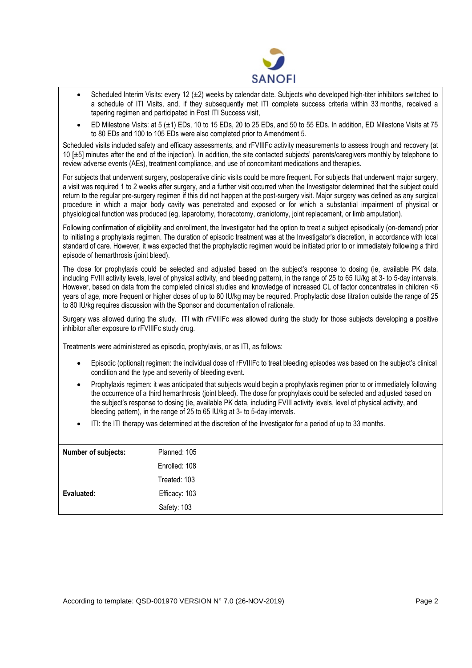

- Scheduled Interim Visits: every 12  $(\pm 2)$  weeks by calendar date. Subjects who developed high-titer inhibitors switched to a schedule of ITI Visits, and, if they subsequently met ITI complete success criteria within 33 months, received a tapering regimen and participated in Post ITI Success visit,
- ED Milestone Visits: at 5  $(\pm 1)$  EDs, 10 to 15 EDs, 20 to 25 EDs, and 50 to 55 EDs, In addition, ED Milestone Visits at 75 to 80 EDs and 100 to 105 EDs were also completed prior to Amendment 5.

Scheduled visits included safety and efficacy assessments, and rFVIIIFc activity measurements to assess trough and recovery (at 10 [± 5] minutes after the end of the injection). In addition, the site contacted subjects' parents/caregivers monthly by telephone to review adverse events (AEs), treatment compliance, and use of concomitant medications and therapies.

For subjects that underwent surgery, postoperative clinic visits could be more frequent. For subjects that underwent major surgery, a visit was required 1 to 2 weeks after surgery, and a further visit occurred when the Investigator determined that the subject could return to the regular pre-surgery regimen if this did not happen at the post-surgery visit. Major surgery was defined as any surgical procedure in which a major body cavity was penetrated and exposed or for which a substantial impairment of physical or physiological function was produced (eg, laparotomy, thoracotomy, craniotomy, joint replacement, or limb amputation).

Following confirmation of eligibility and enrollment, the Investigator had the option to treat a subject episodically (on-demand) prior to initiating a prophylaxis regimen. The duration of episodic treatment was at the Investigator's discretion, in accordance with local standard of care. However, it was expected that the prophylactic regimen would be initiated prior to or immediately following a third episode of hemarthrosis (joint bleed).

The dose for prophylaxis could be selected and adjusted based on the subject's response to dosing (ie, available PK data, including FVIII activity levels, level of physical activity, and bleeding pattern), in the range of 25 to 65 IU/kg at 3- to 5-day intervals. However, based on data from the completed clinical studies and knowledge of increased CL of factor concentrates in children <6 years of age, more frequent or higher doses of up to 80 IU/kg may be required. Prophylactic dose titration outside the range of 25 to 80 IU/kg requires discussion with the Sponsor and documentation of rationale.

Surgery was allowed during the study. ITI with rFVIIIFc was allowed during the study for those subjects developing a positive inhibitor after exposure to rFVIIIFc study drug.

Treatments were administered as episodic, prophylaxis, or as ITI, as follows:

- Episodic (optional) regimen: the individual dose of rFVIIIFc to treat bleeding episodes was based on the subject's clinical condition and the type and severity of bleeding event.
- Prophylaxis regimen: it was anticipated that subjects would begin a prophylaxis regimen prior to or immediately following the occurrence of a third hemarthrosis (joint bleed). The dose for prophylaxis could be selected and adjusted based on the subject's response to dosing (ie, available PK data, including FVIII activity levels, level of physical activity, and bleeding pattern), in the range of 25 to 65 IU/kg at 3- to 5-day intervals.
- ITI: the ITI therapy was determined at the discretion of the Investigator for a period of up to 33 months.

| Number of subjects: | Planned: 105  |
|---------------------|---------------|
|                     | Enrolled: 108 |
|                     | Treated: 103  |
| Evaluated:          | Efficacy: 103 |
|                     | Safety: 103   |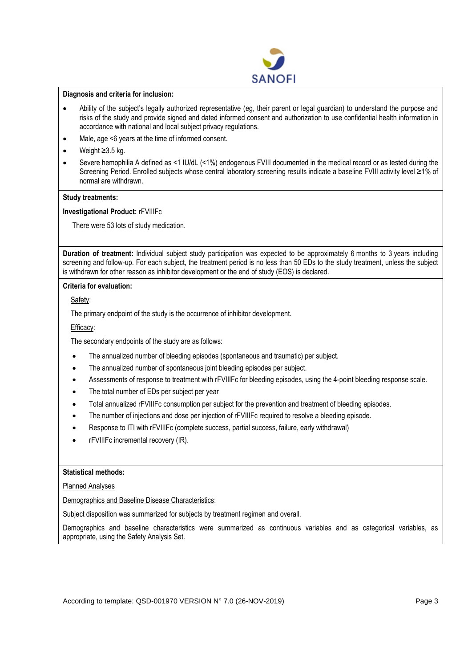

#### **Diagnosis and criteria for inclusion:**

- Ability of the subject's legally authorized representative (eg, their parent or legal guardian) to understand the purpose and risks of the study and provide signed and dated informed consent and authorization to use confidential health information in accordance with national and local subject privacy regulations.
- Male, age <6 years at the time of informed consent.
- Weight ≥3.5 kg.
- Severe hemophilia A defined as <1 IU/dL (<1%) endogenous FVIII documented in the medical record or as tested during the Screening Period. Enrolled subjects whose central laboratory screening results indicate a baseline FVIII activity level ≥1% of normal are withdrawn.

### **Study treatments:**

**Investigational Product:** rFVIIIFc

There were 53 lots of study medication.

**Duration of treatment:** Individual subject study participation was expected to be approximately 6 months to 3 years including screening and follow-up. For each subject, the treatment period is no less than 50 EDs to the study treatment, unless the subject is withdrawn for other reason as inhibitor development or the end of study (EOS) is declared.

### **Criteria for evaluation:**

Safety:

The primary endpoint of the study is the occurrence of inhibitor development.

## Efficacy:

The secondary endpoints of the study are as follows:

- The annualized number of bleeding episodes (spontaneous and traumatic) per subject.
- The annualized number of spontaneous joint bleeding episodes per subject.
- Assessments of response to treatment with rFVIIIFc for bleeding episodes, using the 4-point bleeding response scale.
- The total number of EDs per subject per year
- Total annualized rFVIIIFc consumption per subject for the prevention and treatment of bleeding episodes.
- The number of injections and dose per injection of rFVIIIFc required to resolve a bleeding episode.
- Response to ITI with rFVIIIFc (complete success, partial success, failure, early withdrawal)
- rFVIIIFc incremental recovery (IR).

#### **Statistical methods:**

Planned Analyses

## Demographics and Baseline Disease Characteristics:

Subject disposition was summarized for subjects by treatment regimen and overall.

Demographics and baseline characteristics were summarized as continuous variables and as categorical variables, as appropriate, using the Safety Analysis Set.

According to template: QSD-001970 VERSION N° 7.0 (26-NOV-2019) Page 3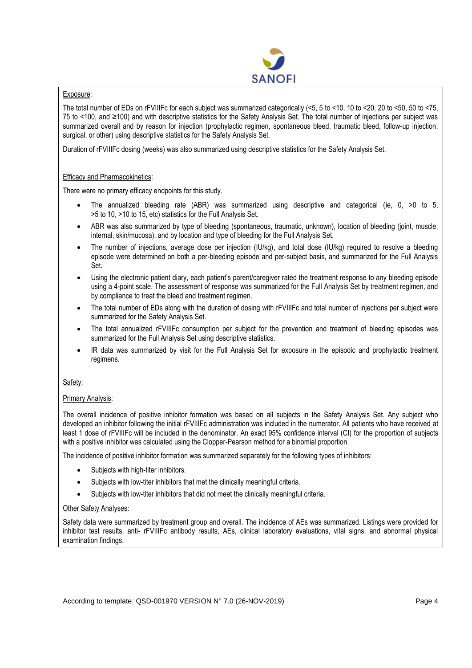

## Exposure:

The total number of EDs on rFVIIIFc for each subject was summarized categorically (<5, 5 to <10, 10 to <20, 20 to <50, 50 to <75, 75 to <100, and ≥100) and with descriptive statistics for the Safety Analysis Set. The total number of injections per subject was summarized overall and by reason for injection (prophylactic regimen, spontaneous bleed, traumatic bleed, follow-up injection, surgical, or other) using descriptive statistics for the Safety Analysis Set.

Duration of rFVIIIFc dosing (weeks) was also summarized using descriptive statistics for the Safety Analysis Set.

# Efficacy and Pharmacokinetics:

There were no primary efficacy endpoints for this study.

- The annualized bleeding rate (ABR) was summarized using descriptive and categorical (ie, 0, >0 to 5, >5 to 10, >10 to 15, etc) statistics for the Full Analysis Set.
- ABR was also summarized by type of bleeding (spontaneous, traumatic, unknown), location of bleeding (joint, muscle, internal, skin/mucosa), and by location and type of bleeding for the Full Analysis Set.
- The number of injections, average dose per injection (IU/kg), and total dose (IU/kg) required to resolve a bleeding episode were determined on both a per-bleeding episode and per-subject basis, and summarized for the Full Analysis Set.
- Using the electronic patient diary, each patient's parent/caregiver rated the treatment response to any bleeding episode using a 4-point scale. The assessment of response was summarized for the Full Analysis Set by treatment regimen, and by compliance to treat the bleed and treatment regimen.
- The total number of EDs along with the duration of dosing with rFVIIIFc and total number of injections per subject were summarized for the Safety Analysis Set.
- The total annualized rFVIIIFc consumption per subject for the prevention and treatment of bleeding episodes was summarized for the Full Analysis Set using descriptive statistics.
- IR data was summarized by visit for the Full Analysis Set for exposure in the episodic and prophylactic treatment regimens.

# Safety:

# Primary Analysis:

The overall incidence of positive inhibitor formation was based on all subjects in the Safety Analysis Set. Any subject who developed an inhibitor following the initial rFVIIIFc administration was included in the numerator. All patients who have received at least 1 dose of rFVIIIFc will be included in the denominator. An exact 95% confidence interval (CI) for the proportion of subjects with a positive inhibitor was calculated using the Clopper-Pearson method for a binomial proportion.

The incidence of positive inhibitor formation was summarized separately for the following types of inhibitors:

- Subjects with high-titer inhibitors.
- Subjects with low-titer inhibitors that met the clinically meaningful criteria.
- Subjects with low-titer inhibitors that did not meet the clinically meaningful criteria.

## Other Safety Analyses:

Safety data were summarized by treatment group and overall. The incidence of AEs was summarized. Listings were provided for inhibitor test results, anti- rFVIIIFc antibody results, AEs, clinical laboratory evaluations, vital signs, and abnormal physical examination findings.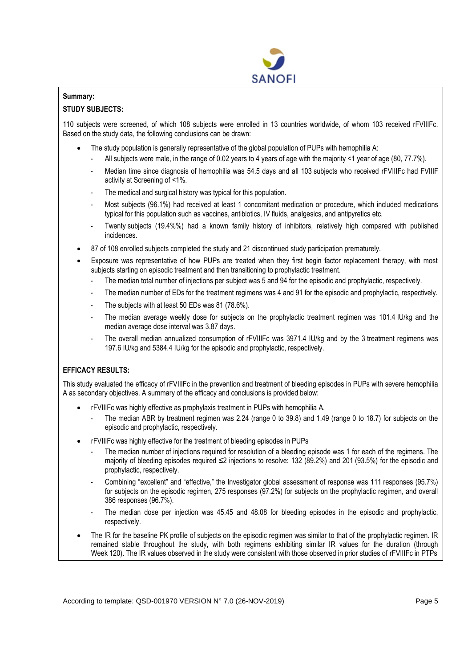

# **Summary:**

# **STUDY SUBJECTS:**

110 subjects were screened, of which 108 subjects were enrolled in 13 countries worldwide, of whom 103 received rFVIIIFc. Based on the study data, the following conclusions can be drawn:

- The study population is generally representative of the global population of PUPs with hemophilia A:
	- All subjects were male, in the range of 0.02 years to 4 years of age with the majority <1 year of age (80, 77.7%).
	- Median time since diagnosis of hemophilia was 54.5 days and all 103 subjects who received rFVIIIFc had FVIIIF activity at Screening of <1%.
	- The medical and surgical history was typical for this population.
	- Most subjects (96.1%) had received at least 1 concomitant medication or procedure, which included medications typical for this population such as vaccines, antibiotics, IV fluids, analgesics, and antipyretics etc.
	- Twenty subjects (19.4%%) had a known family history of inhibitors, relatively high compared with published incidences.
- 87 of 108 enrolled subjects completed the study and 21 discontinued study participation prematurely.
- Exposure was representative of how PUPs are treated when they first begin factor replacement therapy, with most subjects starting on episodic treatment and then transitioning to prophylactic treatment.
	- The median total number of injections per subject was 5 and 94 for the episodic and prophylactic, respectively.
	- The median number of EDs for the treatment regimens was 4 and 91 for the episodic and prophylactic, respectively.
	- The subjects with at least 50 EDs was 81 (78.6%).
	- The median average weekly dose for subjects on the prophylactic treatment regimen was 101.4 IU/kg and the median average dose interval was 3.87 days.
	- The overall median annualized consumption of rFVIIIFc was 3971.4 IU/kg and by the 3 treatment regimens was 197.6 IU/kg and 5384.4 IU/kg for the episodic and prophylactic, respectively.

# **EFFICACY RESULTS:**

This study evaluated the efficacy of rFVIIIFc in the prevention and treatment of bleeding episodes in PUPs with severe hemophilia A as secondary objectives. A summary of the efficacy and conclusions is provided below:

- rFVIIIFc was highly effective as prophylaxis treatment in PUPs with hemophilia A.
	- The median ABR by treatment regimen was 2.24 (range 0 to 39.8) and 1.49 (range 0 to 18.7) for subjects on the episodic and prophylactic, respectively.
- rFVIIIFc was highly effective for the treatment of bleeding episodes in PUPs
	- The median number of injections required for resolution of a bleeding episode was 1 for each of the regimens. The majority of bleeding episodes required ≤2 injections to resolve: 132 (89.2%) and 201 (93.5%) for the episodic and prophylactic, respectively.
	- Combining "excellent" and "effective," the Investigator global assessment of response was 111 responses (95.7%) for subjects on the episodic regimen, 275 responses (97.2%) for subjects on the prophylactic regimen, and overall 386 responses (96.7%).
	- The median dose per injection was 45.45 and 48.08 for bleeding episodes in the episodic and prophylactic, respectively.
- The IR for the baseline PK profile of subjects on the episodic regimen was similar to that of the prophylactic regimen. IR remained stable throughout the study, with both regimens exhibiting similar IR values for the duration (through Week 120). The IR values observed in the study were consistent with those observed in prior studies of rFVIIIFc in PTPs